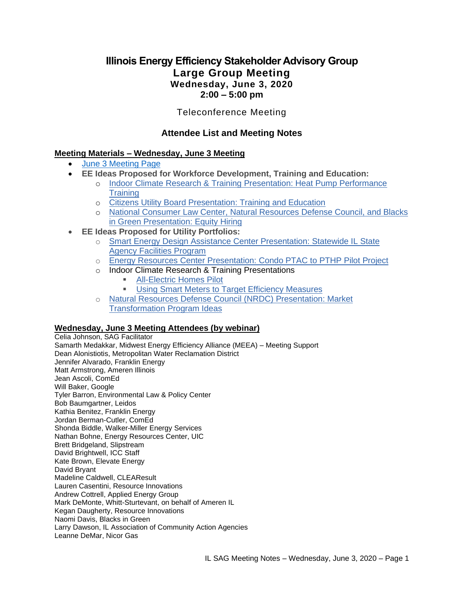# **Illinois Energy Efficiency Stakeholder Advisory Group Large Group Meeting Wednesday, June 3, 2020 2:00 – 5:00 pm**

### Teleconference Meeting

### **Attendee List and Meeting Notes**

### **Meeting Materials – Wednesday, June 3 Meeting**

- [June 3 Meeting Page](https://www.ilsag.info/event/wednesday-june-3-sag-meeting/)
- **EE Ideas Proposed for Workforce Development, Training and Education:**
	- o [Indoor Climate Research & Training Presentation: Heat Pump Performance](https://s3.amazonaws.com/ilsag/HP_Training_Presentation_ICRT_6-3-2020.pdf)  **[Training](https://s3.amazonaws.com/ilsag/HP_Training_Presentation_ICRT_6-3-2020.pdf)**
	- o [Citizens Utility Board Presentation: Training and Education](https://s3.amazonaws.com/ilsag/CUB_Training-Education_Presentation_6-3-2020.pdf)
	- o [National Consumer Law Center, Natural Resources Defense Council, and Blacks](https://s3.amazonaws.com/ilsag/Equity-Hiring-Presentation-BIG-NCLC-NRDC_6-3-2020.pdf)  [in Green Presentation: Equity Hiring](https://s3.amazonaws.com/ilsag/Equity-Hiring-Presentation-BIG-NCLC-NRDC_6-3-2020.pdf)
- **EE Ideas Proposed for Utility Portfolios:**
	- o Smart Energy Design Assistance Center Presentation: Statewide IL State [Agency Facilities Program](https://s3.amazonaws.com/ilsag/SEDAC-SAG-Presentation-State-Agencies-Proposal_6-3-2020.pdf)
	- o [Energy Resources Center Presentation: Condo PTAC to PTHP Pilot Project](https://s3.amazonaws.com/ilsag/SAG_ERC_PTHP-Project-Presentation_6-3-2020.pdf)
	- o Indoor Climate Research & Training Presentations
		- **EXECUTE:** [All-Electric Homes Pilot](https://s3.amazonaws.com/ilsag/Final_All-Electric-Homes-Presentation-ICRT_ILSAG.pdf)
		- **[Using Smart Meters to Target Efficiency Measures](https://s3.amazonaws.com/ilsag/Smart_Meters_ICRT_Presentation_6-3-2020.pdf)**
	- o [Natural Resources Defense Council \(NRDC\) Presentation: Market](https://s3.amazonaws.com/ilsag/MT-Prog-Ideas_NRDC_SAG-2020-06-03.pdf)  [Transformation Program Ideas](https://s3.amazonaws.com/ilsag/MT-Prog-Ideas_NRDC_SAG-2020-06-03.pdf)

### **Wednesday, June 3 Meeting Attendees (by webinar)**

Celia Johnson, SAG Facilitator Samarth Medakkar, Midwest Energy Efficiency Alliance (MEEA) – Meeting Support Dean Alonistiotis, Metropolitan Water Reclamation District Jennifer Alvarado, Franklin Energy Matt Armstrong, Ameren Illinois Jean Ascoli, ComEd Will Baker, Google Tyler Barron, Environmental Law & Policy Center Bob Baumgartner, Leidos Kathia Benitez, Franklin Energy Jordan Berman-Cutler, ComEd Shonda Biddle, Walker-Miller Energy Services Nathan Bohne, Energy Resources Center, UIC Brett Bridgeland, Slipstream David Brightwell, ICC Staff Kate Brown, Elevate Energy David Bryant Madeline Caldwell, CLEAResult Lauren Casentini, Resource Innovations Andrew Cottrell, Applied Energy Group Mark DeMonte, Whitt-Sturtevant, on behalf of Ameren IL Kegan Daugherty, Resource Innovations Naomi Davis, Blacks in Green Larry Dawson, IL Association of Community Action Agencies Leanne DeMar, Nicor Gas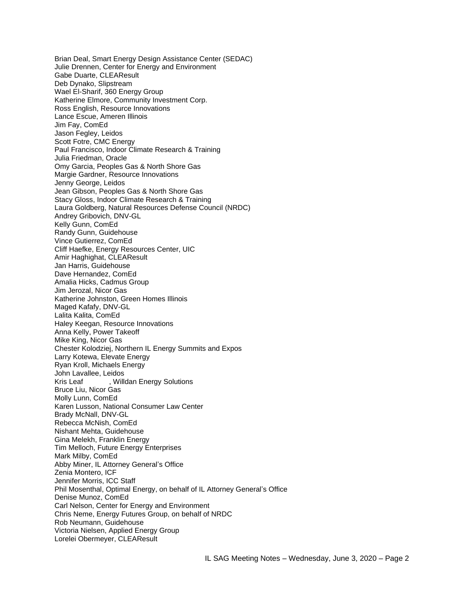Brian Deal, Smart Energy Design Assistance Center (SEDAC) Julie Drennen, Center for Energy and Environment Gabe Duarte, CLEAResult Deb Dynako, Slipstream Wael El-Sharif, 360 Energy Group Katherine Elmore, Community Investment Corp. Ross English, Resource Innovations Lance Escue, Ameren Illinois Jim Fay, ComEd Jason Fegley, Leidos Scott Fotre, CMC Energy Paul Francisco, Indoor Climate Research & Training Julia Friedman, Oracle Omy Garcia, Peoples Gas & North Shore Gas Margie Gardner, Resource Innovations Jenny George, Leidos Jean Gibson, Peoples Gas & North Shore Gas Stacy Gloss, Indoor Climate Research & Training Laura Goldberg, Natural Resources Defense Council (NRDC) Andrey Gribovich, DNV-GL Kelly Gunn, ComEd Randy Gunn, Guidehouse Vince Gutierrez, ComEd Cliff Haefke, Energy Resources Center, UIC Amir Haghighat, CLEAResult Jan Harris, Guidehouse Dave Hernandez, ComEd Amalia Hicks, Cadmus Group Jim Jerozal, Nicor Gas Katherine Johnston, Green Homes Illinois Maged Kafafy, DNV-GL Lalita Kalita, ComEd Haley Keegan, Resource Innovations Anna Kelly, Power Takeoff Mike King, Nicor Gas Chester Kolodziej, Northern IL Energy Summits and Expos Larry Kotewa, Elevate Energy Ryan Kroll, Michaels Energy John Lavallee, Leidos Kris Leaf , Willdan Energy Solutions Bruce Liu, Nicor Gas Molly Lunn, ComEd Karen Lusson, National Consumer Law Center Brady McNall, DNV-GL Rebecca McNish, ComEd Nishant Mehta, Guidehouse Gina Melekh, Franklin Energy Tim Melloch, Future Energy Enterprises Mark Milby, ComEd Abby Miner, IL Attorney General's Office Zenia Montero, ICF Jennifer Morris, ICC Staff Phil Mosenthal, Optimal Energy, on behalf of IL Attorney General's Office Denise Munoz, ComEd Carl Nelson, Center for Energy and Environment Chris Neme, Energy Futures Group, on behalf of NRDC Rob Neumann, Guidehouse Victoria Nielsen, Applied Energy Group Lorelei Obermeyer, CLEAResult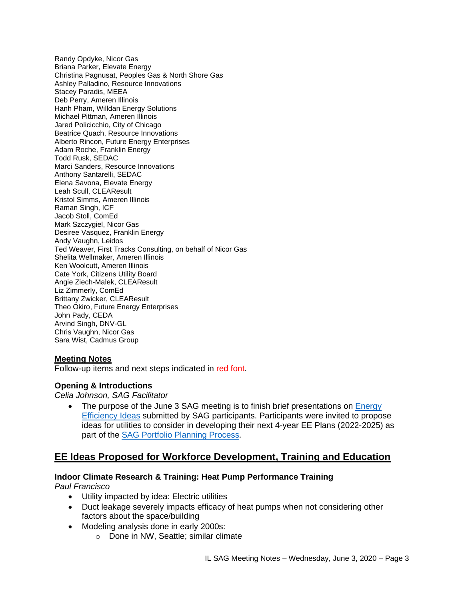Randy Opdyke, Nicor Gas Briana Parker, Elevate Energy Christina Pagnusat, Peoples Gas & North Shore Gas Ashley Palladino, Resource Innovations Stacey Paradis, MEEA Deb Perry, Ameren Illinois Hanh Pham, Willdan Energy Solutions Michael Pittman, Ameren Illinois Jared Policicchio, City of Chicago Beatrice Quach, Resource Innovations Alberto Rincon, Future Energy Enterprises Adam Roche, Franklin Energy Todd Rusk, SEDAC Marci Sanders, Resource Innovations Anthony Santarelli, SEDAC Elena Savona, Elevate Energy Leah Scull, CLEAResult Kristol Simms, Ameren Illinois Raman Singh, ICF Jacob Stoll, ComEd Mark Szczygiel, Nicor Gas Desiree Vasquez, Franklin Energy Andy Vaughn, Leidos Ted Weaver, First Tracks Consulting, on behalf of Nicor Gas Shelita Wellmaker, Ameren Illinois Ken Woolcutt, Ameren Illinois Cate York, Citizens Utility Board Angie Ziech-Malek, CLEAResult Liz Zimmerly, ComEd Brittany Zwicker, CLEAResult Theo Okiro, Future Energy Enterprises John Pady, CEDA Arvind Singh, DNV-GL Chris Vaughn, Nicor Gas Sara Wist, Cadmus Group

### **Meeting Notes**

Follow-up items and next steps indicated in red font.

### **Opening & Introductions**

*Celia Johnson, SAG Facilitator*

The purpose of the June 3 SAG meeting is to finish brief presentations on Energy [Efficiency Ideas](https://www.ilsag.info/2020-energy-efficiency-ideas/) submitted by SAG participants. Participants were invited to propose ideas for utilities to consider in developing their next 4-year EE Plans (2022-2025) as part of the [SAG Portfolio Planning Process](https://www.ilsag.info/meetings/portfolio-planning-process/)*.* 

## **EE Ideas Proposed for Workforce Development, Training and Education**

# **Indoor Climate Research & Training: Heat Pump Performance Training**

*Paul Francisco*

- Utility impacted by idea: Electric utilities
- Duct leakage severely impacts efficacy of heat pumps when not considering other factors about the space/building
- Modeling analysis done in early 2000s:
	- o Done in NW, Seattle; similar climate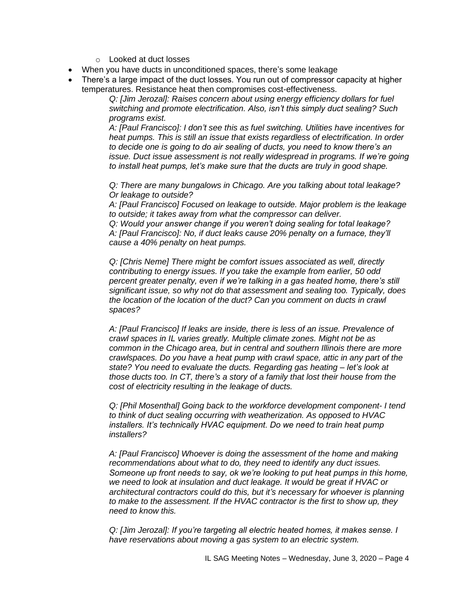- o Looked at duct losses
- When you have ducts in unconditioned spaces, there's some leakage
- There's a large impact of the duct losses. You run out of compressor capacity at higher temperatures. Resistance heat then compromises cost-effectiveness.

*Q: [Jim Jerozal]: Raises concern about using energy efficiency dollars for fuel switching and promote electrification. Also, isn't this simply duct sealing? Such programs exist.*

*A: [Paul Francisco]: I don't see this as fuel switching. Utilities have incentives for heat pumps. This is still an issue that exists regardless of electrification. In order to decide one is going to do air sealing of ducts, you need to know there's an issue. Duct issue assessment is not really widespread in programs. If we're going to install heat pumps, let's make sure that the ducts are truly in good shape.* 

*Q: There are many bungalows in Chicago. Are you talking about total leakage? Or leakage to outside?*

*A: [Paul Francisco] Focused on leakage to outside. Major problem is the leakage to outside; it takes away from what the compressor can deliver.* 

*Q: Would your answer change if you weren't doing sealing for total leakage? A: [Paul Francisco]: No, if duct leaks cause 20% penalty on a furnace, they'll cause a 40% penalty on heat pumps.*

*Q: [Chris Neme] There might be comfort issues associated as well, directly contributing to energy issues. If you take the example from earlier, 50 odd percent greater penalty, even if we're talking in a gas heated home, there's still significant issue, so why not do that assessment and sealing too. Typically, does the location of the location of the duct? Can you comment on ducts in crawl spaces?*

*A: [Paul Francisco] If leaks are inside, there is less of an issue. Prevalence of crawl spaces in IL varies greatly. Multiple climate zones. Might not be as common in the Chicago area, but in central and southern Illinois there are more crawlspaces. Do you have a heat pump with crawl space, attic in any part of the state? You need to evaluate the ducts. Regarding gas heating – let's look at those ducts too. In CT, there's a story of a family that lost their house from the cost of electricity resulting in the leakage of ducts.* 

*Q: [Phil Mosenthal] Going back to the workforce development component- I tend to think of duct sealing occurring with weatherization. As opposed to HVAC installers. It's technically HVAC equipment. Do we need to train heat pump installers?* 

*A: [Paul Francisco] Whoever is doing the assessment of the home and making recommendations about what to do, they need to identify any duct issues. Someone up front needs to say, ok we're looking to put heat pumps in this home, we need to look at insulation and duct leakage. It would be great if HVAC or architectural contractors could do this, but it's necessary for whoever is planning to make to the assessment. If the HVAC contractor is the first to show up, they need to know this.*

*Q: [Jim Jerozal]: If you're targeting all electric heated homes, it makes sense. I have reservations about moving a gas system to an electric system.*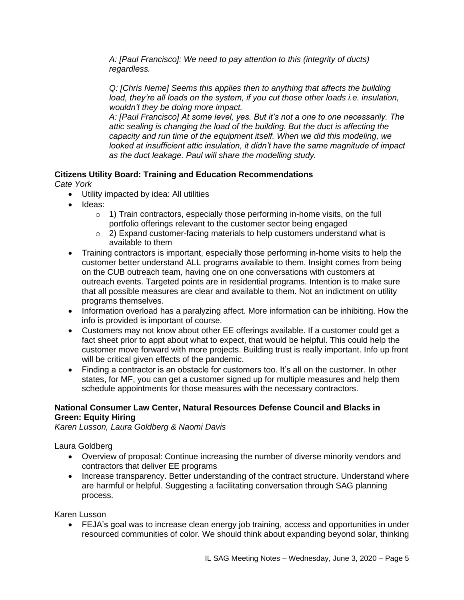*A: [Paul Francisco]: We need to pay attention to this (integrity of ducts) regardless.*

*Q: [Chris Neme] Seems this applies then to anything that affects the building load, they're all loads on the system, if you cut those other loads i.e. insulation, wouldn't they be doing more impact.*

*A: [Paul Francisco] At some level, yes. But it's not a one to one necessarily. The attic sealing is changing the load of the building. But the duct is affecting the capacity and run time of the equipment itself. When we did this modeling, we looked at insufficient attic insulation, it didn't have the same magnitude of impact as the duct leakage. Paul will share the modelling study.* 

## **Citizens Utility Board: Training and Education Recommendations**

*Cate York*

- Utility impacted by idea: All utilities
- Ideas:
	- $\circ$  1) Train contractors, especially those performing in-home visits, on the full portfolio offerings relevant to the customer sector being engaged
	- o 2) Expand customer-facing materials to help customers understand what is available to them
- Training contractors is important, especially those performing in-home visits to help the customer better understand ALL programs available to them. Insight comes from being on the CUB outreach team, having one on one conversations with customers at outreach events. Targeted points are in residential programs. Intention is to make sure that all possible measures are clear and available to them. Not an indictment on utility programs themselves.
- Information overload has a paralyzing affect. More information can be inhibiting. How the info is provided is important of course.
- Customers may not know about other EE offerings available. If a customer could get a fact sheet prior to appt about what to expect, that would be helpful. This could help the customer move forward with more projects. Building trust is really important. Info up front will be critical given effects of the pandemic.
- Finding a contractor is an obstacle for customers too. It's all on the customer. In other states, for MF, you can get a customer signed up for multiple measures and help them schedule appointments for those measures with the necessary contractors.

### **National Consumer Law Center, Natural Resources Defense Council and Blacks in Green: Equity Hiring**

*Karen Lusson, Laura Goldberg & Naomi Davis*

Laura Goldberg

- Overview of proposal: Continue increasing the number of diverse minority vendors and contractors that deliver EE programs
- Increase transparency. Better understanding of the contract structure. Understand where are harmful or helpful. Suggesting a facilitating conversation through SAG planning process.

Karen Lusson

• FEJA's goal was to increase clean energy job training, access and opportunities in under resourced communities of color. We should think about expanding beyond solar, thinking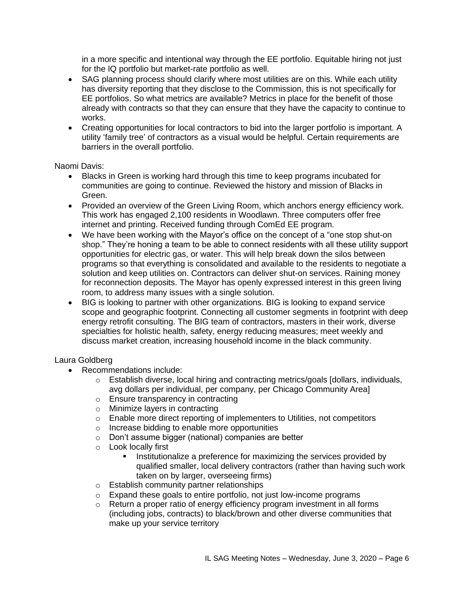in a more specific and intentional way through the EE portfolio. Equitable hiring not just for the IQ portfolio but market-rate portfolio as well.

- SAG planning process should clarify where most utilities are on this. While each utility has diversity reporting that they disclose to the Commission, this is not specifically for EE portfolios. So what metrics are available? Metrics in place for the benefit of those already with contracts so that they can ensure that they have the capacity to continue to works.
- Creating opportunities for local contractors to bid into the larger portfolio is important. A utility 'family tree' of contractors as a visual would be helpful. Certain requirements are barriers in the overall portfolio.

Naomi Davis:

- Blacks in Green is working hard through this time to keep programs incubated for communities are going to continue. Reviewed the history and mission of Blacks in Green.
- Provided an overview of the Green Living Room, which anchors energy efficiency work. This work has engaged 2,100 residents in Woodlawn. Three computers offer free internet and printing. Received funding through ComEd EE program.
- We have been working with the Mayor's office on the concept of a "one stop shut-on shop." They're honing a team to be able to connect residents with all these utility support opportunities for electric gas, or water. This will help break down the silos between programs so that everything is consolidated and available to the residents to negotiate a solution and keep utilities on. Contractors can deliver shut-on services. Raining money for reconnection deposits. The Mayor has openly expressed interest in this green living room, to address many issues with a single solution.
- BIG is looking to partner with other organizations. BIG is looking to expand service scope and geographic footprint. Connecting all customer segments in footprint with deep energy retrofit consulting. The BIG team of contractors, masters in their work, diverse specialties for holistic health, safety, energy reducing measures; meet weekly and discuss market creation, increasing household income in the black community.

Laura Goldberg

- Recommendations include:
	- $\circ$  Establish diverse, local hiring and contracting metrics/goals [dollars, individuals, avg dollars per individual, per company, per Chicago Community Area]
	- o Ensure transparency in contracting
	- o Minimize layers in contracting
	- o Enable more direct reporting of implementers to Utilities, not competitors
	- o Increase bidding to enable more opportunities
	- o Don't assume bigger (national) companies are better
	- o Look locally first
		- **EXECT** Institutionalize a preference for maximizing the services provided by qualified smaller, local delivery contractors (rather than having such work taken on by larger, overseeing firms)
	- o Establish community partner relationships
	- o Expand these goals to entire portfolio, not just low-income programs
	- o Return a proper ratio of energy efficiency program investment in all forms (including jobs, contracts) to black/brown and other diverse communities that make up your service territory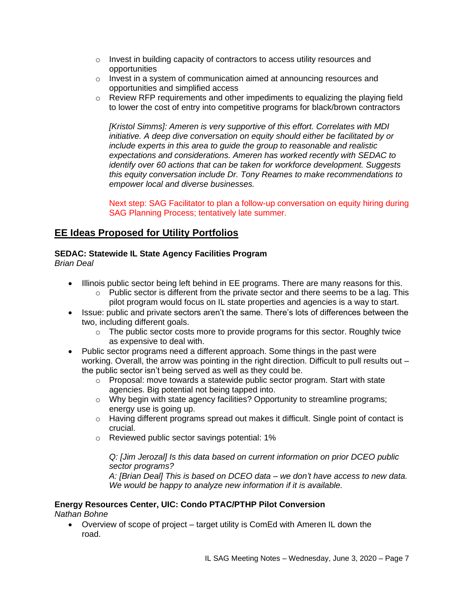- $\circ$  Invest in building capacity of contractors to access utility resources and opportunities
- o Invest in a system of communication aimed at announcing resources and opportunities and simplified access
- $\circ$  Review RFP requirements and other impediments to equalizing the playing field to lower the cost of entry into competitive programs for black/brown contractors

*[Kristol Simms]: Ameren is very supportive of this effort. Correlates with MDI initiative. A deep dive conversation on equity should either be facilitated by or include experts in this area to guide the group to reasonable and realistic expectations and considerations. Ameren has worked recently with SEDAC to identify over 60 actions that can be taken for workforce development. Suggests this equity conversation include Dr. Tony Reames to make recommendations to empower local and diverse businesses.*

Next step: SAG Facilitator to plan a follow-up conversation on equity hiring during SAG Planning Process; tentatively late summer.

# **EE Ideas Proposed for Utility Portfolios**

## **SEDAC: Statewide IL State Agency Facilities Program**

*Brian Deal*

- Illinois public sector being left behind in EE programs. There are many reasons for this.
	- $\circ$  Public sector is different from the private sector and there seems to be a lag. This pilot program would focus on IL state properties and agencies is a way to start.
- Issue: public and private sectors aren't the same. There's lots of differences between the two, including different goals.
	- $\circ$  The public sector costs more to provide programs for this sector. Roughly twice as expensive to deal with.
- Public sector programs need a different approach. Some things in the past were working. Overall, the arrow was pointing in the right direction. Difficult to pull results out – the public sector isn't being served as well as they could be.
	- $\circ$  Proposal: move towards a statewide public sector program. Start with state agencies. Big potential not being tapped into.
	- $\circ$  Why begin with state agency facilities? Opportunity to streamline programs; energy use is going up.
	- $\circ$  Having different programs spread out makes it difficult. Single point of contact is crucial.
	- o Reviewed public sector savings potential: 1%

### *Q: [Jim Jerozal] Is this data based on current information on prior DCEO public sector programs?*

*A: [Brian Deal] This is based on DCEO data – we don't have access to new data. We would be happy to analyze new information if it is available.*

### **Energy Resources Center, UIC: Condo PTAC/PTHP Pilot Conversion**

*Nathan Bohne*

• Overview of scope of project – target utility is ComEd with Ameren IL down the road.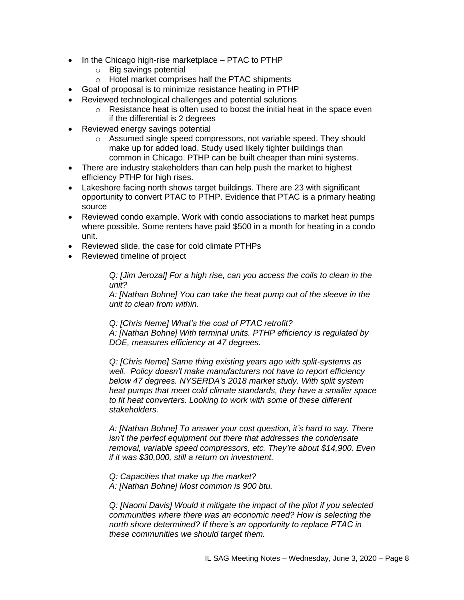- In the Chicago high-rise marketplace PTAC to PTHP
	- o Big savings potential
	- o Hotel market comprises half the PTAC shipments
- Goal of proposal is to minimize resistance heating in PTHP
- Reviewed technological challenges and potential solutions
	- o Resistance heat is often used to boost the initial heat in the space even if the differential is 2 degrees
- Reviewed energy savings potential
	- o Assumed single speed compressors, not variable speed. They should make up for added load. Study used likely tighter buildings than common in Chicago. PTHP can be built cheaper than mini systems.
- There are industry stakeholders than can help push the market to highest efficiency PTHP for high rises.
- Lakeshore facing north shows target buildings. There are 23 with significant opportunity to convert PTAC to PTHP. Evidence that PTAC is a primary heating source
- Reviewed condo example. Work with condo associations to market heat pumps where possible. Some renters have paid \$500 in a month for heating in a condo unit.
- Reviewed slide, the case for cold climate PTHPs
- Reviewed timeline of project

*Q: [Jim Jerozal] For a high rise, can you access the coils to clean in the unit?*

*A: [Nathan Bohne] You can take the heat pump out of the sleeve in the unit to clean from within.*

*Q: [Chris Neme] What's the cost of PTAC retrofit? A: [Nathan Bohne] With terminal units. PTHP efficiency is regulated by DOE, measures efficiency at 47 degrees.*

*Q: [Chris Neme] Same thing existing years ago with split-systems as well. Policy doesn't make manufacturers not have to report efficiency below 47 degrees. NYSERDA's 2018 market study. With split system heat pumps that meet cold climate standards, they have a smaller space to fit heat converters. Looking to work with some of these different stakeholders.* 

*A: [Nathan Bohne] To answer your cost question, it's hard to say. There isn't the perfect equipment out there that addresses the condensate removal, variable speed compressors, etc. They're about \$14,900. Even if it was \$30,000, still a return on investment.*

- *Q: Capacities that make up the market?*
- *A: [Nathan Bohne] Most common is 900 btu.*

*Q: [Naomi Davis] Would it mitigate the impact of the pilot if you selected communities where there was an economic need? How is selecting the north shore determined? If there's an opportunity to replace PTAC in these communities we should target them.*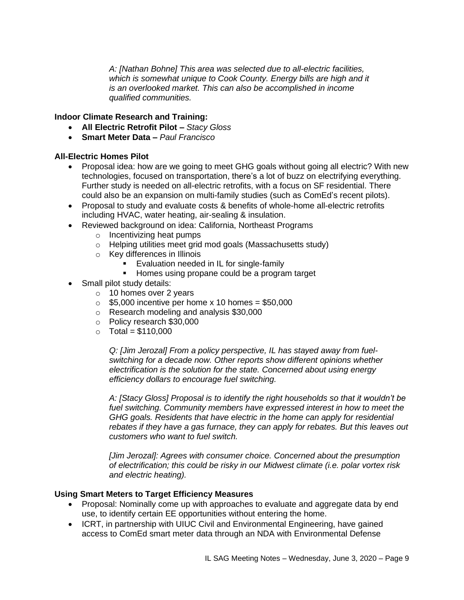*A: [Nathan Bohne] This area was selected due to all-electric facilities, which is somewhat unique to Cook County. Energy bills are high and it is an overlooked market. This can also be accomplished in income qualified communities.*

### **Indoor Climate Research and Training:**

- **All Electric Retrofit Pilot –** *Stacy Gloss*
- **Smart Meter Data –** *Paul Francisco*

### **All-Electric Homes Pilot**

- Proposal idea: how are we going to meet GHG goals without going all electric? With new technologies, focused on transportation, there's a lot of buzz on electrifying everything. Further study is needed on all-electric retrofits, with a focus on SF residential. There could also be an expansion on multi-family studies (such as ComEd's recent pilots).
- Proposal to study and evaluate costs & benefits of whole-home all-electric retrofits including HVAC, water heating, air-sealing & insulation.
- Reviewed background on idea: California, Northeast Programs
	- o Incentivizing heat pumps
	- o Helping utilities meet grid mod goals (Massachusetts study)
	- o Key differences in Illinois
		- Evaluation needed in IL for single-family
		- Homes using propane could be a program target
- Small pilot study details:
	- o 10 homes over 2 years
	- $\circ$  \$5,000 incentive per home x 10 homes = \$50,000
	- o Research modeling and analysis \$30,000
	- o Policy research \$30,000
	- $\circ$  Total = \$110,000

*Q: [Jim Jerozal] From a policy perspective, IL has stayed away from fuelswitching for a decade now. Other reports show different opinions whether electrification is the solution for the state. Concerned about using energy efficiency dollars to encourage fuel switching.*

*A: [Stacy Gloss] Proposal is to identify the right households so that it wouldn't be fuel switching. Community members have expressed interest in how to meet the GHG goals. Residents that have electric in the home can apply for residential rebates if they have a gas furnace, they can apply for rebates. But this leaves out customers who want to fuel switch.* 

*[Jim Jerozal]: Agrees with consumer choice. Concerned about the presumption of electrification; this could be risky in our Midwest climate (i.e. polar vortex risk and electric heating).*

### **Using Smart Meters to Target Efficiency Measures**

- Proposal: Nominally come up with approaches to evaluate and aggregate data by end use, to identify certain EE opportunities without entering the home.
- ICRT, in partnership with UIUC Civil and Environmental Engineering, have gained access to ComEd smart meter data through an NDA with Environmental Defense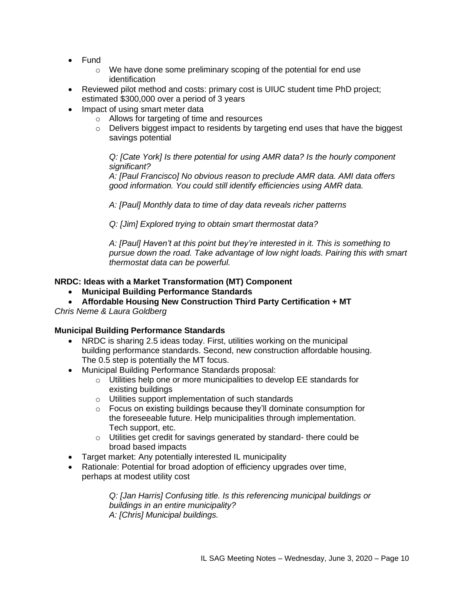- Fund
	- $\circ$  We have done some preliminary scoping of the potential for end use identification
- Reviewed pilot method and costs: primary cost is UIUC student time PhD project; estimated \$300,000 over a period of 3 years
- Impact of using smart meter data
	- o Allows for targeting of time and resources
	- $\circ$  Delivers biggest impact to residents by targeting end uses that have the biggest savings potential

*Q: [Cate York] Is there potential for using AMR data? Is the hourly component significant?*

*A: [Paul Francisco] No obvious reason to preclude AMR data. AMI data offers good information. You could still identify efficiencies using AMR data.*

*A: [Paul] Monthly data to time of day data reveals richer patterns*

*Q: [Jim] Explored trying to obtain smart thermostat data?*

*A: [Paul] Haven't at this point but they're interested in it. This is something to pursue down the road. Take advantage of low night loads. Pairing this with smart thermostat data can be powerful.* 

### **NRDC: Ideas with a Market Transformation (MT) Component**

- **Municipal Building Performance Standards**
- **Affordable Housing New Construction Third Party Certification + MT**

*Chris Neme & Laura Goldberg*

### **Municipal Building Performance Standards**

- NRDC is sharing 2.5 ideas today. First, utilities working on the municipal building performance standards. Second, new construction affordable housing. The 0.5 step is potentially the MT focus.
- Municipal Building Performance Standards proposal:
	- o Utilities help one or more municipalities to develop EE standards for existing buildings
	- o Utilities support implementation of such standards
	- o Focus on existing buildings because they'll dominate consumption for the foreseeable future. Help municipalities through implementation. Tech support, etc.
	- o Utilities get credit for savings generated by standard- there could be broad based impacts
- Target market: Any potentially interested IL municipality
- Rationale: Potential for broad adoption of efficiency upgrades over time, perhaps at modest utility cost

*Q: [Jan Harris] Confusing title. Is this referencing municipal buildings or buildings in an entire municipality? A: [Chris] Municipal buildings.*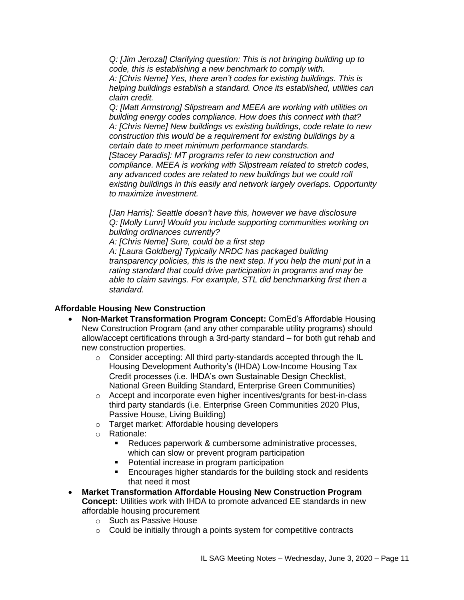*Q: [Jim Jerozal] Clarifying question: This is not bringing building up to code, this is establishing a new benchmark to comply with.*

*A: [Chris Neme] Yes, there aren't codes for existing buildings. This is helping buildings establish a standard. Once its established, utilities can claim credit.*

*Q: [Matt Armstrong] Slipstream and MEEA are working with utilities on building energy codes compliance. How does this connect with that? A: [Chris Neme] New buildings vs existing buildings, code relate to new construction this would be a requirement for existing buildings by a certain date to meet minimum performance standards. [Stacey Paradis]: MT programs refer to new construction and compliance. MEEA is working with Slipstream related to stretch codes, any advanced codes are related to new buildings but we could roll existing buildings in this easily and network largely overlaps. Opportunity* 

*to maximize investment.*

*[Jan Harris]: Seattle doesn't have this, however we have disclosure Q: [Molly Lunn] Would you include supporting communities working on building ordinances currently?*

*A: [Chris Neme] Sure, could be a first step*

*A: [Laura Goldberg] Typically NRDC has packaged building transparency policies, this is the next step. If you help the muni put in a rating standard that could drive participation in programs and may be able to claim savings. For example, STL did benchmarking first then a standard.*

### **Affordable Housing New Construction**

- **Non-Market Transformation Program Concept:** ComEd's Affordable Housing New Construction Program (and any other comparable utility programs) should allow/accept certifications through a 3rd-party standard – for both gut rehab and new construction properties.
	- o Consider accepting: All third party-standards accepted through the IL Housing Development Authority's (IHDA) Low-Income Housing Tax Credit processes (i.e. IHDA's own Sustainable Design Checklist, National Green Building Standard, Enterprise Green Communities)
	- o Accept and incorporate even higher incentives/grants for best-in-class third party standards (i.e. Enterprise Green Communities 2020 Plus, Passive House, Living Building)
	- o Target market: Affordable housing developers
	- o Rationale:
		- Reduces paperwork & cumbersome administrative processes, which can slow or prevent program participation
		- Potential increase in program participation
		- Encourages higher standards for the building stock and residents that need it most
- **Market Transformation Affordable Housing New Construction Program Concept:** Utilities work with IHDA to promote advanced EE standards in new affordable housing procurement
	- o Such as Passive House
	- $\circ$  Could be initially through a points system for competitive contracts